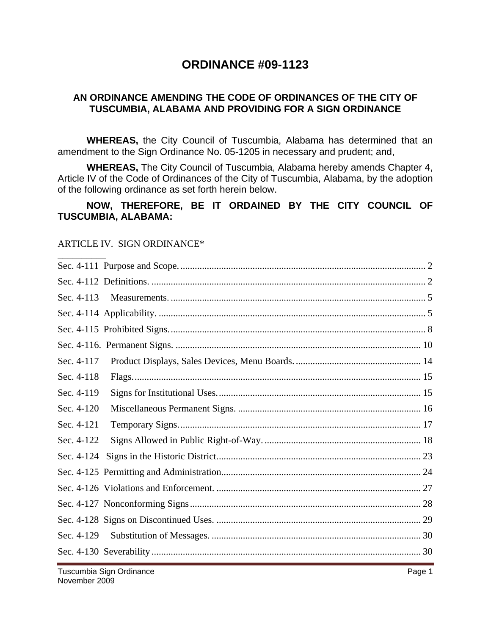# **ORDINANCE #09-1123**

### **AN ORDINANCE AMENDING THE CODE OF ORDINANCES OF THE CITY OF TUSCUMBIA, ALABAMA AND PROVIDING FOR A SIGN ORDINANCE**

**WHEREAS,** the City Council of Tuscumbia, Alabama has determined that an amendment to the Sign Ordinance No. 05-1205 in necessary and prudent; and,

**WHEREAS,** The City Council of Tuscumbia, Alabama hereby amends Chapter 4, Article IV of the Code of Ordinances of the City of Tuscumbia, Alabama, by the adoption of the following ordinance as set forth herein below.

#### **NOW, THEREFORE, BE IT ORDAINED BY THE CITY COUNCIL OF TUSCUMBIA, ALABAMA:**

#### ARTICLE IV. SIGN ORDINANCE\*

| Sec. 4-113 |  |
|------------|--|
|            |  |
|            |  |
|            |  |
| Sec. 4-117 |  |
| Sec. 4-118 |  |
| Sec. 4-119 |  |
| Sec. 4-120 |  |
| Sec. 4-121 |  |
| Sec. 4-122 |  |
| Sec. 4-124 |  |
|            |  |
|            |  |
|            |  |
|            |  |
| Sec. 4-129 |  |
|            |  |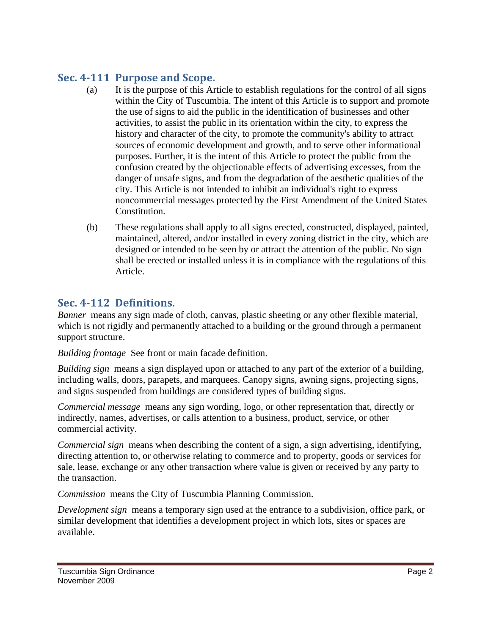# **Sec. 4111 Purpose and Scope.**

- (a) It is the purpose of this Article to establish regulations for the control of all signs within the City of Tuscumbia. The intent of this Article is to support and promote the use of signs to aid the public in the identification of businesses and other activities, to assist the public in its orientation within the city, to express the history and character of the city, to promote the community's ability to attract sources of economic development and growth, and to serve other informational purposes. Further, it is the intent of this Article to protect the public from the confusion created by the objectionable effects of advertising excesses, from the danger of unsafe signs, and from the degradation of the aesthetic qualities of the city. This Article is not intended to inhibit an individual's right to express noncommercial messages protected by the First Amendment of the United States Constitution.
- (b) These regulations shall apply to all signs erected, constructed, displayed, painted, maintained, altered, and/or installed in every zoning district in the city, which are designed or intended to be seen by or attract the attention of the public. No sign shall be erected or installed unless it is in compliance with the regulations of this Article.

## **Sec. 4112 Definitions.**

*Banner* means any sign made of cloth, canvas, plastic sheeting or any other flexible material, which is not rigidly and permanently attached to a building or the ground through a permanent support structure.

*Building frontage* See front or main facade definition.

*Building sign* means a sign displayed upon or attached to any part of the exterior of a building, including walls, doors, parapets, and marquees. Canopy signs, awning signs, projecting signs, and signs suspended from buildings are considered types of building signs.

*Commercial message* means any sign wording, logo, or other representation that, directly or indirectly, names, advertises, or calls attention to a business, product, service, or other commercial activity.

*Commercial sign* means when describing the content of a sign, a sign advertising, identifying, directing attention to, or otherwise relating to commerce and to property, goods or services for sale, lease, exchange or any other transaction where value is given or received by any party to the transaction.

*Commission* means the City of Tuscumbia Planning Commission.

*Development sign* means a temporary sign used at the entrance to a subdivision, office park, or similar development that identifies a development project in which lots, sites or spaces are available.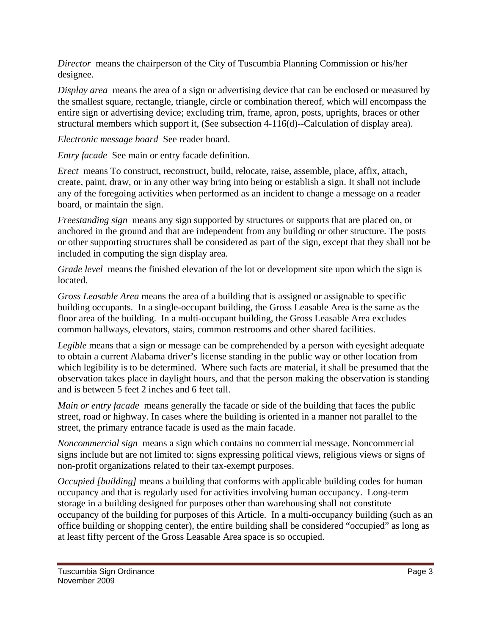*Director* means the chairperson of the City of Tuscumbia Planning Commission or his/her designee.

*Display area* means the area of a sign or advertising device that can be enclosed or measured by the smallest square, rectangle, triangle, circle or combination thereof, which will encompass the entire sign or advertising device; excluding trim, frame, apron, posts, uprights, braces or other structural members which support it, (See subsection 4-116(d)--Calculation of display area).

*Electronic message board* See reader board.

*Entry facade* See main or entry facade definition.

*Erect* means To construct, reconstruct, build, relocate, raise, assemble, place, affix, attach, create, paint, draw, or in any other way bring into being or establish a sign. It shall not include any of the foregoing activities when performed as an incident to change a message on a reader board, or maintain the sign.

*Freestanding sign* means any sign supported by structures or supports that are placed on, or anchored in the ground and that are independent from any building or other structure. The posts or other supporting structures shall be considered as part of the sign, except that they shall not be included in computing the sign display area.

*Grade level* means the finished elevation of the lot or development site upon which the sign is located.

*Gross Leasable Area* means the area of a building that is assigned or assignable to specific building occupants. In a single-occupant building, the Gross Leasable Area is the same as the floor area of the building. In a multi-occupant building, the Gross Leasable Area excludes common hallways, elevators, stairs, common restrooms and other shared facilities.

*Legible* means that a sign or message can be comprehended by a person with eyesight adequate to obtain a current Alabama driver's license standing in the public way or other location from which legibility is to be determined. Where such facts are material, it shall be presumed that the observation takes place in daylight hours, and that the person making the observation is standing and is between 5 feet 2 inches and 6 feet tall.

*Main or entry facade* means generally the facade or side of the building that faces the public street, road or highway. In cases where the building is oriented in a manner not parallel to the street, the primary entrance facade is used as the main facade.

*Noncommercial sign* means a sign which contains no commercial message. Noncommercial signs include but are not limited to: signs expressing political views, religious views or signs of non-profit organizations related to their tax-exempt purposes.

*Occupied [building]* means a building that conforms with applicable building codes for human occupancy and that is regularly used for activities involving human occupancy. Long-term storage in a building designed for purposes other than warehousing shall not constitute occupancy of the building for purposes of this Article. In a multi-occupancy building (such as an office building or shopping center), the entire building shall be considered "occupied" as long as at least fifty percent of the Gross Leasable Area space is so occupied.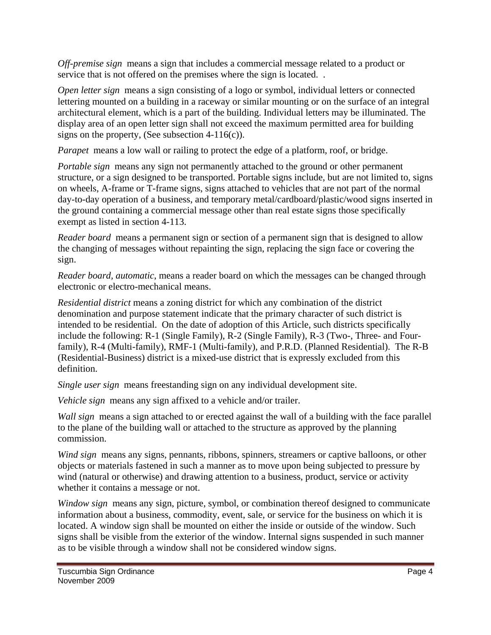*Off-premise sign* means a sign that includes a commercial message related to a product or service that is not offered on the premises where the sign is located. .

*Open letter sign* means a sign consisting of a logo or symbol, individual letters or connected lettering mounted on a building in a raceway or similar mounting or on the surface of an integral architectural element, which is a part of the building. Individual letters may be illuminated. The display area of an open letter sign shall not exceed the maximum permitted area for building signs on the property, (See subsection  $4-116(c)$ ).

*Parapet* means a low wall or railing to protect the edge of a platform, roof, or bridge.

*Portable sign* means any sign not permanently attached to the ground or other permanent structure, or a sign designed to be transported. Portable signs include, but are not limited to, signs on wheels, A-frame or T-frame signs, signs attached to vehicles that are not part of the normal day-to-day operation of a business, and temporary metal/cardboard/plastic/wood signs inserted in the ground containing a commercial message other than real estate signs those specifically exempt as listed in section 4-113.

*Reader board* means a permanent sign or section of a permanent sign that is designed to allow the changing of messages without repainting the sign, replacing the sign face or covering the sign.

*Reader board, automatic*, means a reader board on which the messages can be changed through electronic or electro-mechanical means.

*Residential district* means a zoning district for which any combination of the district denomination and purpose statement indicate that the primary character of such district is intended to be residential. On the date of adoption of this Article, such districts specifically include the following: R-1 (Single Family), R-2 (Single Family), R-3 (Two-, Three- and Fourfamily), R-4 (Multi-family), RMF-1 (Multi-family), and P.R.D. (Planned Residential). The R-B (Residential-Business) district is a mixed-use district that is expressly excluded from this definition.

*Single user sign* means freestanding sign on any individual development site.

*Vehicle sign* means any sign affixed to a vehicle and/or trailer.

*Wall sign* means a sign attached to or erected against the wall of a building with the face parallel to the plane of the building wall or attached to the structure as approved by the planning commission.

*Wind sign* means any signs, pennants, ribbons, spinners, streamers or captive balloons, or other objects or materials fastened in such a manner as to move upon being subjected to pressure by wind (natural or otherwise) and drawing attention to a business, product, service or activity whether it contains a message or not.

*Window sign* means any sign, picture, symbol, or combination thereof designed to communicate information about a business, commodity, event, sale, or service for the business on which it is located. A window sign shall be mounted on either the inside or outside of the window. Such signs shall be visible from the exterior of the window. Internal signs suspended in such manner as to be visible through a window shall not be considered window signs.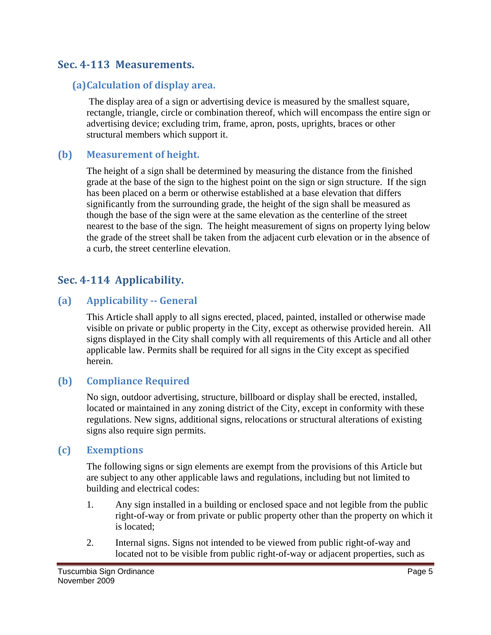## **Sec. 4113 Measurements.**

## **(a)Calculation of display area.**

 The display area of a sign or advertising device is measured by the smallest square, rectangle, triangle, circle or combination thereof, which will encompass the entire sign or advertising device; excluding trim, frame, apron, posts, uprights, braces or other structural members which support it.

### **(b) Measurement of height.**

The height of a sign shall be determined by measuring the distance from the finished grade at the base of the sign to the highest point on the sign or sign structure. If the sign has been placed on a berm or otherwise established at a base elevation that differs significantly from the surrounding grade, the height of the sign shall be measured as though the base of the sign were at the same elevation as the centerline of the street nearest to the base of the sign. The height measurement of signs on property lying below the grade of the street shall be taken from the adjacent curb elevation or in the absence of a curb, the street centerline elevation.

## **Sec. 4114 Applicability.**

## **(a) Applicability General**

This Article shall apply to all signs erected, placed, painted, installed or otherwise made visible on private or public property in the City, except as otherwise provided herein. All signs displayed in the City shall comply with all requirements of this Article and all other applicable law. Permits shall be required for all signs in the City except as specified herein.

## **(b) Compliance Required**

No sign, outdoor advertising, structure, billboard or display shall be erected, installed, located or maintained in any zoning district of the City, except in conformity with these regulations. New signs, additional signs, relocations or structural alterations of existing signs also require sign permits.

### **(c) Exemptions**

The following signs or sign elements are exempt from the provisions of this Article but are subject to any other applicable laws and regulations, including but not limited to building and electrical codes:

- 1. Any sign installed in a building or enclosed space and not legible from the public right-of-way or from private or public property other than the property on which it is located;
- 2. Internal signs. Signs not intended to be viewed from public right-of-way and located not to be visible from public right-of-way or adjacent properties, such as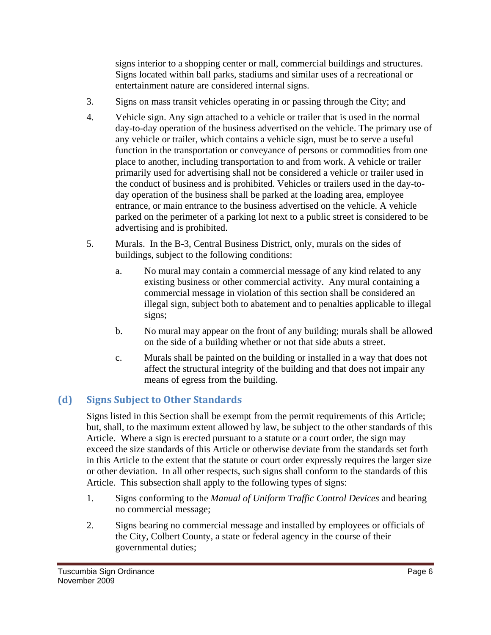signs interior to a shopping center or mall, commercial buildings and structures. Signs located within ball parks, stadiums and similar uses of a recreational or entertainment nature are considered internal signs.

- 3. Signs on mass transit vehicles operating in or passing through the City; and
- 4. Vehicle sign. Any sign attached to a vehicle or trailer that is used in the normal day-to-day operation of the business advertised on the vehicle. The primary use of any vehicle or trailer, which contains a vehicle sign, must be to serve a useful function in the transportation or conveyance of persons or commodities from one place to another, including transportation to and from work. A vehicle or trailer primarily used for advertising shall not be considered a vehicle or trailer used in the conduct of business and is prohibited. Vehicles or trailers used in the day-today operation of the business shall be parked at the loading area, employee entrance, or main entrance to the business advertised on the vehicle. A vehicle parked on the perimeter of a parking lot next to a public street is considered to be advertising and is prohibited.
- 5. Murals. In the B-3, Central Business District, only, murals on the sides of buildings, subject to the following conditions:
	- a. No mural may contain a commercial message of any kind related to any existing business or other commercial activity. Any mural containing a commercial message in violation of this section shall be considered an illegal sign, subject both to abatement and to penalties applicable to illegal signs;
	- b. No mural may appear on the front of any building; murals shall be allowed on the side of a building whether or not that side abuts a street.
	- c. Murals shall be painted on the building or installed in a way that does not affect the structural integrity of the building and that does not impair any means of egress from the building.

# **(d) Signs Subject to Other Standards**

Signs listed in this Section shall be exempt from the permit requirements of this Article; but, shall, to the maximum extent allowed by law, be subject to the other standards of this Article. Where a sign is erected pursuant to a statute or a court order, the sign may exceed the size standards of this Article or otherwise deviate from the standards set forth in this Article to the extent that the statute or court order expressly requires the larger size or other deviation. In all other respects, such signs shall conform to the standards of this Article. This subsection shall apply to the following types of signs:

- 1. Signs conforming to the *Manual of Uniform Traffic Control Devices* and bearing no commercial message;
- 2. Signs bearing no commercial message and installed by employees or officials of the City, Colbert County, a state or federal agency in the course of their governmental duties;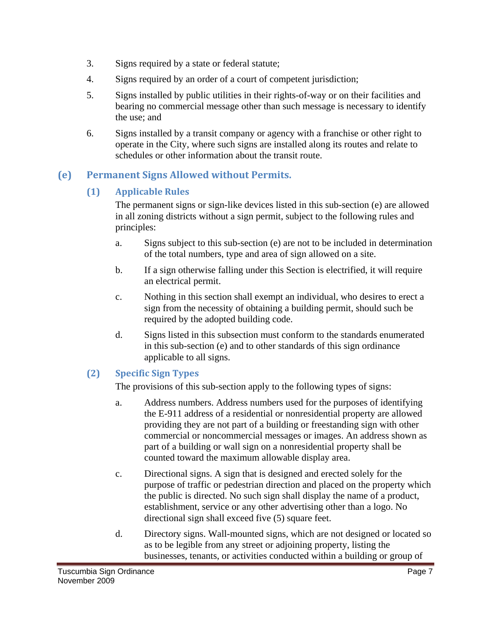- 3. Signs required by a state or federal statute;
- 4. Signs required by an order of a court of competent jurisdiction;
- 5. Signs installed by public utilities in their rights-of-way or on their facilities and bearing no commercial message other than such message is necessary to identify the use; and
- 6. Signs installed by a transit company or agency with a franchise or other right to operate in the City, where such signs are installed along its routes and relate to schedules or other information about the transit route.

## **(e) Permanent Signs Allowed without Permits.**

## **(1) Applicable Rules**

The permanent signs or sign-like devices listed in this sub-section (e) are allowed in all zoning districts without a sign permit, subject to the following rules and principles:

- a. Signs subject to this sub-section (e) are not to be included in determination of the total numbers, type and area of sign allowed on a site.
- b. If a sign otherwise falling under this Section is electrified, it will require an electrical permit.
- c. Nothing in this section shall exempt an individual, who desires to erect a sign from the necessity of obtaining a building permit, should such be required by the adopted building code.
- d. Signs listed in this subsection must conform to the standards enumerated in this sub-section (e) and to other standards of this sign ordinance applicable to all signs.

## **(2) Specific Sign Types**

The provisions of this sub-section apply to the following types of signs:

- a. Address numbers. Address numbers used for the purposes of identifying the E-911 address of a residential or nonresidential property are allowed providing they are not part of a building or freestanding sign with other commercial or noncommercial messages or images. An address shown as part of a building or wall sign on a nonresidential property shall be counted toward the maximum allowable display area.
- c. Directional signs. A sign that is designed and erected solely for the purpose of traffic or pedestrian direction and placed on the property which the public is directed. No such sign shall display the name of a product, establishment, service or any other advertising other than a logo. No directional sign shall exceed five (5) square feet.
- d. Directory signs. Wall-mounted signs, which are not designed or located so as to be legible from any street or adjoining property, listing the businesses, tenants, or activities conducted within a building or group of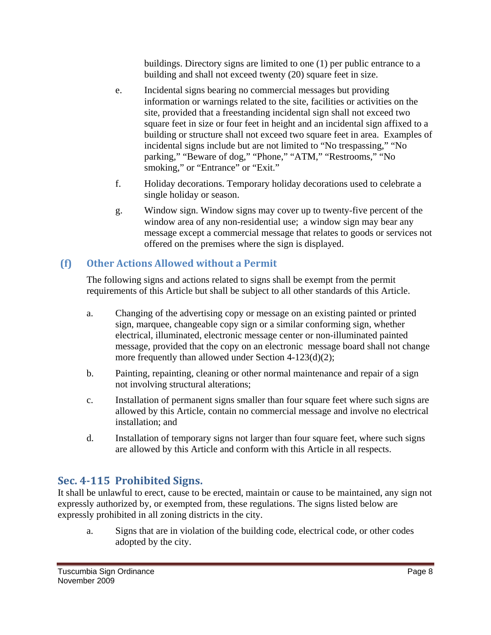buildings. Directory signs are limited to one (1) per public entrance to a building and shall not exceed twenty (20) square feet in size.

- e. Incidental signs bearing no commercial messages but providing information or warnings related to the site, facilities or activities on the site, provided that a freestanding incidental sign shall not exceed two square feet in size or four feet in height and an incidental sign affixed to a building or structure shall not exceed two square feet in area. Examples of incidental signs include but are not limited to "No trespassing," "No parking," "Beware of dog," "Phone," "ATM," "Restrooms," "No smoking," or "Entrance" or "Exit."
- f. Holiday decorations. Temporary holiday decorations used to celebrate a single holiday or season.
- g. Window sign. Window signs may cover up to twenty-five percent of the window area of any non-residential use; a window sign may bear any message except a commercial message that relates to goods or services not offered on the premises where the sign is displayed.

## **(f) Other Actions Allowed without a Permit**

The following signs and actions related to signs shall be exempt from the permit requirements of this Article but shall be subject to all other standards of this Article.

- a. Changing of the advertising copy or message on an existing painted or printed sign, marquee, changeable copy sign or a similar conforming sign, whether electrical, illuminated, electronic message center or non-illuminated painted message, provided that the copy on an electronic message board shall not change more frequently than allowed under Section 4-123(d)(2);
- b. Painting, repainting, cleaning or other normal maintenance and repair of a sign not involving structural alterations;
- c. Installation of permanent signs smaller than four square feet where such signs are allowed by this Article, contain no commercial message and involve no electrical installation; and
- d. Installation of temporary signs not larger than four square feet, where such signs are allowed by this Article and conform with this Article in all respects.

# **Sec. 4115 Prohibited Signs.**

It shall be unlawful to erect, cause to be erected, maintain or cause to be maintained, any sign not expressly authorized by, or exempted from, these regulations. The signs listed below are expressly prohibited in all zoning districts in the city.

a. Signs that are in violation of the building code, electrical code, or other codes adopted by the city.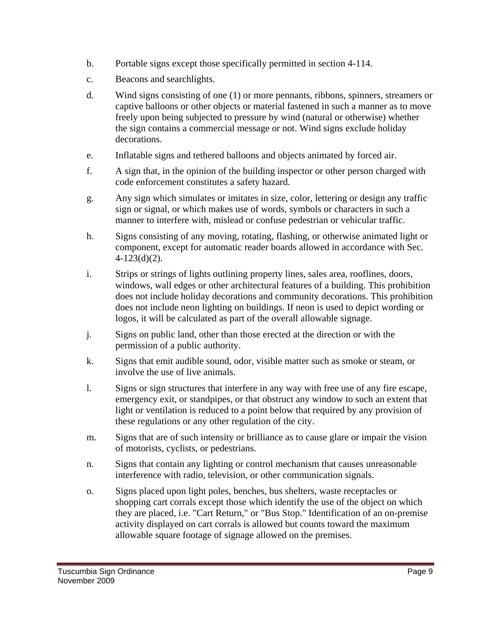- b. Portable signs except those specifically permitted in section 4-114.
- c. Beacons and searchlights.
- d. Wind signs consisting of one (1) or more pennants, ribbons, spinners, streamers or captive balloons or other objects or material fastened in such a manner as to move freely upon being subjected to pressure by wind (natural or otherwise) whether the sign contains a commercial message or not. Wind signs exclude holiday decorations.
- e. Inflatable signs and tethered balloons and objects animated by forced air.
- f. A sign that, in the opinion of the building inspector or other person charged with code enforcement constitutes a safety hazard.
- g. Any sign which simulates or imitates in size, color, lettering or design any traffic sign or signal, or which makes use of words, symbols or characters in such a manner to interfere with, mislead or confuse pedestrian or vehicular traffic.
- h. Signs consisting of any moving, rotating, flashing, or otherwise animated light or component, except for automatic reader boards allowed in accordance with Sec. 4-123(d)(2).
- i. Strips or strings of lights outlining property lines, sales area, rooflines, doors, windows, wall edges or other architectural features of a building. This prohibition does not include holiday decorations and community decorations. This prohibition does not include neon lighting on buildings. If neon is used to depict wording or logos, it will be calculated as part of the overall allowable signage.
- j. Signs on public land, other than those erected at the direction or with the permission of a public authority.
- k. Signs that emit audible sound, odor, visible matter such as smoke or steam, or involve the use of live animals.
- l. Signs or sign structures that interfere in any way with free use of any fire escape, emergency exit, or standpipes, or that obstruct any window to such an extent that light or ventilation is reduced to a point below that required by any provision of these regulations or any other regulation of the city.
- m. Signs that are of such intensity or brilliance as to cause glare or impair the vision of motorists, cyclists, or pedestrians.
- n. Signs that contain any lighting or control mechanism that causes unreasonable interference with radio, television, or other communication signals.
- o. Signs placed upon light poles, benches, bus shelters, waste receptacles or shopping cart corrals except those which identify the use of the object on which they are placed, i.e. "Cart Return," or "Bus Stop." Identification of an on-premise activity displayed on cart corrals is allowed but counts toward the maximum allowable square footage of signage allowed on the premises.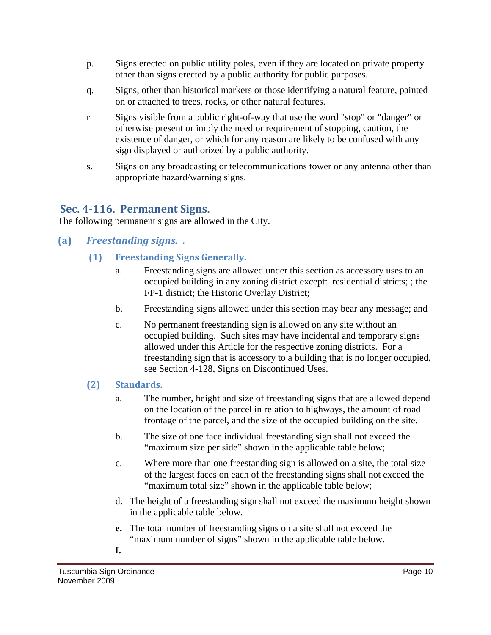- p. Signs erected on public utility poles, even if they are located on private property other than signs erected by a public authority for public purposes.
- q. Signs, other than historical markers or those identifying a natural feature, painted on or attached to trees, rocks, or other natural features.
- r Signs visible from a public right-of-way that use the word "stop" or "danger" or otherwise present or imply the need or requirement of stopping, caution, the existence of danger, or which for any reason are likely to be confused with any sign displayed or authorized by a public authority.
- s. Signs on any broadcasting or telecommunications tower or any antenna other than appropriate hazard/warning signs.

## **Sec. 4116. Permanent Signs.**

The following permanent signs are allowed in the City.

- **(a)**  *Freestanding signs.* **.**
	- **(1) Freestanding Signs Generally.**
		- a. Freestanding signs are allowed under this section as accessory uses to an occupied building in any zoning district except: residential districts; ; the FP-1 district; the Historic Overlay District;
		- b. Freestanding signs allowed under this section may bear any message; and
		- c. No permanent freestanding sign is allowed on any site without an occupied building. Such sites may have incidental and temporary signs allowed under this Article for the respective zoning districts. For a freestanding sign that is accessory to a building that is no longer occupied, see Section 4-128, Signs on Discontinued Uses.

## **(2) Standards.**

- a. The number, height and size of freestanding signs that are allowed depend on the location of the parcel in relation to highways, the amount of road frontage of the parcel, and the size of the occupied building on the site.
- b. The size of one face individual freestanding sign shall not exceed the "maximum size per side" shown in the applicable table below;
- c. Where more than one freestanding sign is allowed on a site, the total size of the largest faces on each of the freestanding signs shall not exceed the "maximum total size" shown in the applicable table below;
- d. The height of a freestanding sign shall not exceed the maximum height shown in the applicable table below.
- **e.** The total number of freestanding signs on a site shall not exceed the "maximum number of signs" shown in the applicable table below.
- **f.**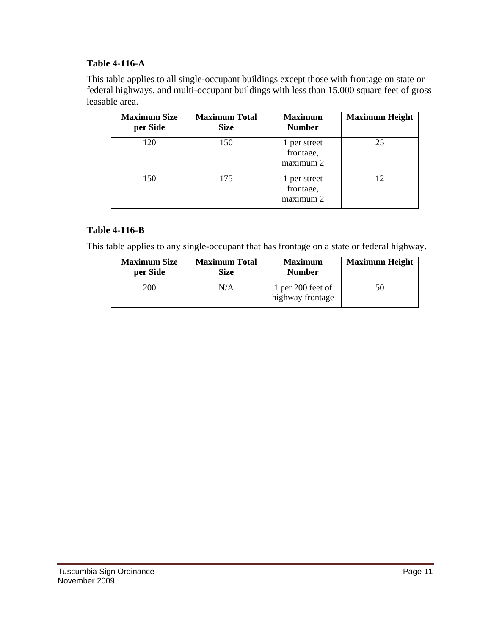### **Table 4-116-A**

This table applies to all single-occupant buildings except those with frontage on state or federal highways, and multi-occupant buildings with less than 15,000 square feet of gross leasable area.

| <b>Maximum Size</b><br>per Side | <b>Maximum Total</b><br><b>Size</b> | <b>Maximum</b><br><b>Number</b>        | <b>Maximum Height</b> |
|---------------------------------|-------------------------------------|----------------------------------------|-----------------------|
| 120                             | 150                                 | 1 per street<br>frontage,<br>maximum 2 | 25                    |
| 150                             | 175                                 | 1 per street<br>frontage,<br>maximum 2 | 12                    |

### **Table 4-116-B**

This table applies to any single-occupant that has frontage on a state or federal highway.

| <b>Maximum Size</b> | <b>Maximum Total</b> | <b>Maximum</b>                        | <b>Maximum Height</b> |
|---------------------|----------------------|---------------------------------------|-----------------------|
| per Side            | Size                 | <b>Number</b>                         |                       |
| 200                 | N/A                  | 1 per 200 feet of<br>highway frontage | 50                    |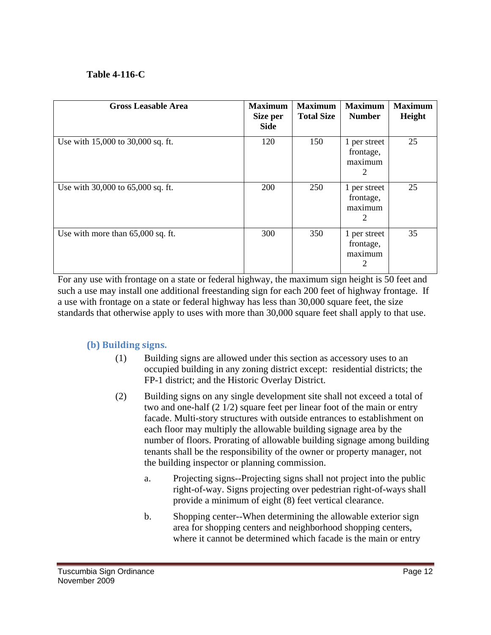### **Table 4-116-C**

| <b>Gross Leasable Area</b>        | <b>Maximum</b><br>Size per<br><b>Side</b> | <b>Maximum</b><br><b>Total Size</b> | <b>Maximum</b><br><b>Number</b>           | <b>Maximum</b><br>Height |
|-----------------------------------|-------------------------------------------|-------------------------------------|-------------------------------------------|--------------------------|
| Use with 15,000 to 30,000 sq. ft. | 120                                       | 150                                 | 1 per street<br>frontage,<br>maximum<br>2 | 25                       |
| Use with 30,000 to 65,000 sq. ft. | 200                                       | 250                                 | 1 per street<br>frontage,<br>maximum<br>2 | 25                       |
| Use with more than 65,000 sq. ft. | 300                                       | 350                                 | 1 per street<br>frontage,<br>maximum<br>2 | 35                       |

For any use with frontage on a state or federal highway, the maximum sign height is 50 feet and such a use may install one additional freestanding sign for each 200 feet of highway frontage. If a use with frontage on a state or federal highway has less than 30,000 square feet, the size standards that otherwise apply to uses with more than 30,000 square feet shall apply to that use.

#### **(b) Building signs.**

- (1) Building signs are allowed under this section as accessory uses to an occupied building in any zoning district except: residential districts; the FP-1 district; and the Historic Overlay District.
- (2) Building signs on any single development site shall not exceed a total of two and one-half (2 1/2) square feet per linear foot of the main or entry facade. Multi-story structures with outside entrances to establishment on each floor may multiply the allowable building signage area by the number of floors. Prorating of allowable building signage among building tenants shall be the responsibility of the owner or property manager, not the building inspector or planning commission.
	- a. Projecting signs--Projecting signs shall not project into the public right-of-way. Signs projecting over pedestrian right-of-ways shall provide a minimum of eight (8) feet vertical clearance.
	- b. Shopping center--When determining the allowable exterior sign area for shopping centers and neighborhood shopping centers, where it cannot be determined which facade is the main or entry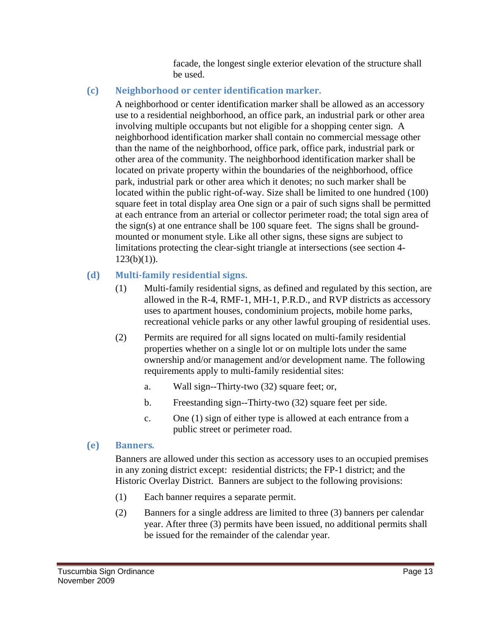facade, the longest single exterior elevation of the structure shall be used.

## **(c) Neighborhood or center identification marker.**

A neighborhood or center identification marker shall be allowed as an accessory use to a residential neighborhood, an office park, an industrial park or other area involving multiple occupants but not eligible for a shopping center sign. A neighborhood identification marker shall contain no commercial message other than the name of the neighborhood, office park, office park, industrial park or other area of the community. The neighborhood identification marker shall be located on private property within the boundaries of the neighborhood, office park, industrial park or other area which it denotes; no such marker shall be located within the public right-of-way. Size shall be limited to one hundred (100) square feet in total display area One sign or a pair of such signs shall be permitted at each entrance from an arterial or collector perimeter road; the total sign area of the sign(s) at one entrance shall be 100 square feet. The signs shall be groundmounted or monument style. Like all other signs, these signs are subject to limitations protecting the clear-sight triangle at intersections (see section 4-  $123(b)(1)$ ).

### **(d) Multifamily residential signs.**

- (1) Multi-family residential signs, as defined and regulated by this section, are allowed in the R-4, RMF-1, MH-1, P.R.D., and RVP districts as accessory uses to apartment houses, condominium projects, mobile home parks, recreational vehicle parks or any other lawful grouping of residential uses.
- (2) Permits are required for all signs located on multi-family residential properties whether on a single lot or on multiple lots under the same ownership and/or management and/or development name. The following requirements apply to multi-family residential sites:
	- a. Wall sign--Thirty-two (32) square feet; or,
	- b. Freestanding sign--Thirty-two (32) square feet per side.
	- c. One (1) sign of either type is allowed at each entrance from a public street or perimeter road.

### **(e) Banners***.*

Banners are allowed under this section as accessory uses to an occupied premises in any zoning district except: residential districts; the FP-1 district; and the Historic Overlay District. Banners are subject to the following provisions:

- (1) Each banner requires a separate permit.
- (2) Banners for a single address are limited to three (3) banners per calendar year. After three (3) permits have been issued, no additional permits shall be issued for the remainder of the calendar year.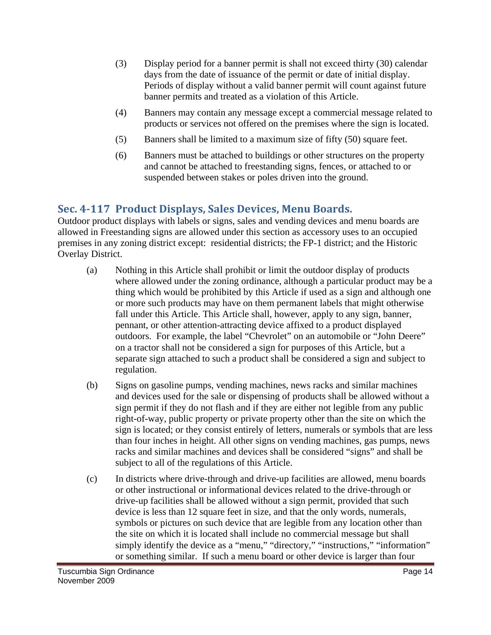- (3) Display period for a banner permit is shall not exceed thirty (30) calendar days from the date of issuance of the permit or date of initial display. Periods of display without a valid banner permit will count against future banner permits and treated as a violation of this Article.
- (4) Banners may contain any message except a commercial message related to products or services not offered on the premises where the sign is located.
- (5) Banners shall be limited to a maximum size of fifty (50) square feet.
- (6) Banners must be attached to buildings or other structures on the property and cannot be attached to freestanding signs, fences, or attached to or suspended between stakes or poles driven into the ground.

# **Sec. 4117 Product Displays, Sales Devices, Menu Boards.**

Outdoor product displays with labels or signs, sales and vending devices and menu boards are allowed in Freestanding signs are allowed under this section as accessory uses to an occupied premises in any zoning district except: residential districts; the FP-1 district; and the Historic Overlay District.

- (a) Nothing in this Article shall prohibit or limit the outdoor display of products where allowed under the zoning ordinance, although a particular product may be a thing which would be prohibited by this Article if used as a sign and although one or more such products may have on them permanent labels that might otherwise fall under this Article. This Article shall, however, apply to any sign, banner, pennant, or other attention-attracting device affixed to a product displayed outdoors. For example, the label "Chevrolet" on an automobile or "John Deere" on a tractor shall not be considered a sign for purposes of this Article, but a separate sign attached to such a product shall be considered a sign and subject to regulation.
- (b) Signs on gasoline pumps, vending machines, news racks and similar machines and devices used for the sale or dispensing of products shall be allowed without a sign permit if they do not flash and if they are either not legible from any public right-of-way, public property or private property other than the site on which the sign is located; or they consist entirely of letters, numerals or symbols that are less than four inches in height. All other signs on vending machines, gas pumps, news racks and similar machines and devices shall be considered "signs" and shall be subject to all of the regulations of this Article.
- (c) In districts where drive-through and drive-up facilities are allowed, menu boards or other instructional or informational devices related to the drive-through or drive-up facilities shall be allowed without a sign permit, provided that such device is less than 12 square feet in size, and that the only words, numerals, symbols or pictures on such device that are legible from any location other than the site on which it is located shall include no commercial message but shall simply identify the device as a "menu," "directory," "instructions," "information" or something similar. If such a menu board or other device is larger than four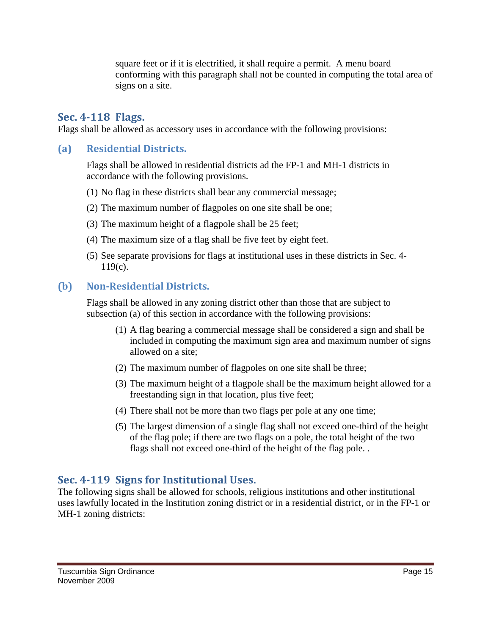square feet or if it is electrified, it shall require a permit. A menu board conforming with this paragraph shall not be counted in computing the total area of signs on a site.

### **Sec. 4118 Flags.**

Flags shall be allowed as accessory uses in accordance with the following provisions:

#### **(a) Residential Districts.**

Flags shall be allowed in residential districts ad the FP-1 and MH-1 districts in accordance with the following provisions.

- (1) No flag in these districts shall bear any commercial message;
- (2) The maximum number of flagpoles on one site shall be one;
- (3) The maximum height of a flagpole shall be 25 feet;
- (4) The maximum size of a flag shall be five feet by eight feet.
- (5) See separate provisions for flags at institutional uses in these districts in Sec. 4-  $119(c)$ .

#### **(b) NonResidential Districts.**

Flags shall be allowed in any zoning district other than those that are subject to subsection (a) of this section in accordance with the following provisions:

- (1) A flag bearing a commercial message shall be considered a sign and shall be included in computing the maximum sign area and maximum number of signs allowed on a site;
- (2) The maximum number of flagpoles on one site shall be three;
- (3) The maximum height of a flagpole shall be the maximum height allowed for a freestanding sign in that location, plus five feet;
- (4) There shall not be more than two flags per pole at any one time;
- (5) The largest dimension of a single flag shall not exceed one-third of the height of the flag pole; if there are two flags on a pole, the total height of the two flags shall not exceed one-third of the height of the flag pole. .

## **Sec. 4119 Signs for Institutional Uses.**

The following signs shall be allowed for schools, religious institutions and other institutional uses lawfully located in the Institution zoning district or in a residential district, or in the FP-1 or MH-1 zoning districts: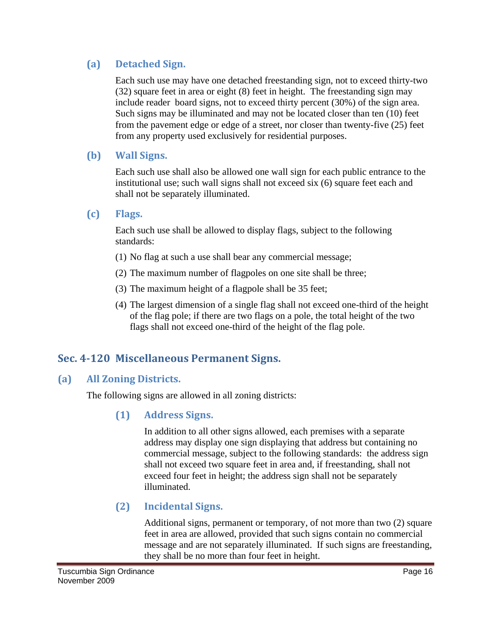## **(a) Detached Sign.**

Each such use may have one detached freestanding sign, not to exceed thirty-two (32) square feet in area or eight (8) feet in height. The freestanding sign may include reader board signs, not to exceed thirty percent (30%) of the sign area. Such signs may be illuminated and may not be located closer than ten (10) feet from the pavement edge or edge of a street, nor closer than twenty-five (25) feet from any property used exclusively for residential purposes.

## **(b) Wall Signs.**

Each such use shall also be allowed one wall sign for each public entrance to the institutional use; such wall signs shall not exceed six (6) square feet each and shall not be separately illuminated.

## **(c) Flags.**

Each such use shall be allowed to display flags, subject to the following standards:

- (1) No flag at such a use shall bear any commercial message;
- (2) The maximum number of flagpoles on one site shall be three;
- (3) The maximum height of a flagpole shall be 35 feet;
- (4) The largest dimension of a single flag shall not exceed one-third of the height of the flag pole; if there are two flags on a pole, the total height of the two flags shall not exceed one-third of the height of the flag pole.

# **Sec. 4120 Miscellaneous Permanent Signs.**

## **(a) All Zoning Districts.**

The following signs are allowed in all zoning districts:

## **(1) Address Signs.**

In addition to all other signs allowed, each premises with a separate address may display one sign displaying that address but containing no commercial message, subject to the following standards: the address sign shall not exceed two square feet in area and, if freestanding, shall not exceed four feet in height; the address sign shall not be separately illuminated.

## **(2) Incidental Signs.**

Additional signs, permanent or temporary, of not more than two (2) square feet in area are allowed, provided that such signs contain no commercial message and are not separately illuminated. If such signs are freestanding, they shall be no more than four feet in height.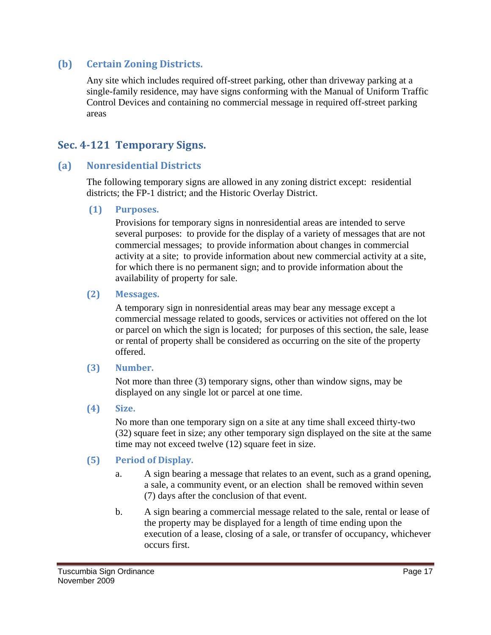### **(b) Certain Zoning Districts.**

Any site which includes required off-street parking, other than driveway parking at a single-family residence, may have signs conforming with the Manual of Uniform Traffic Control Devices and containing no commercial message in required off-street parking areas

## **Sec. 4121 Temporary Signs.**

### **(a) Nonresidential Districts**

The following temporary signs are allowed in any zoning district except: residential districts; the FP-1 district; and the Historic Overlay District.

#### **(1) Purposes.**

Provisions for temporary signs in nonresidential areas are intended to serve several purposes: to provide for the display of a variety of messages that are not commercial messages; to provide information about changes in commercial activity at a site; to provide information about new commercial activity at a site, for which there is no permanent sign; and to provide information about the availability of property for sale.

#### **(2) Messages.**

A temporary sign in nonresidential areas may bear any message except a commercial message related to goods, services or activities not offered on the lot or parcel on which the sign is located; for purposes of this section, the sale, lease or rental of property shall be considered as occurring on the site of the property offered.

#### **(3) Number.**

Not more than three (3) temporary signs, other than window signs, may be displayed on any single lot or parcel at one time.

#### **(4) Size.**

No more than one temporary sign on a site at any time shall exceed thirty-two (32) square feet in size; any other temporary sign displayed on the site at the same time may not exceed twelve (12) square feet in size.

#### **(5) Period of Display.**

- a. A sign bearing a message that relates to an event, such as a grand opening, a sale, a community event, or an election shall be removed within seven (7) days after the conclusion of that event.
- b. A sign bearing a commercial message related to the sale, rental or lease of the property may be displayed for a length of time ending upon the execution of a lease, closing of a sale, or transfer of occupancy, whichever occurs first.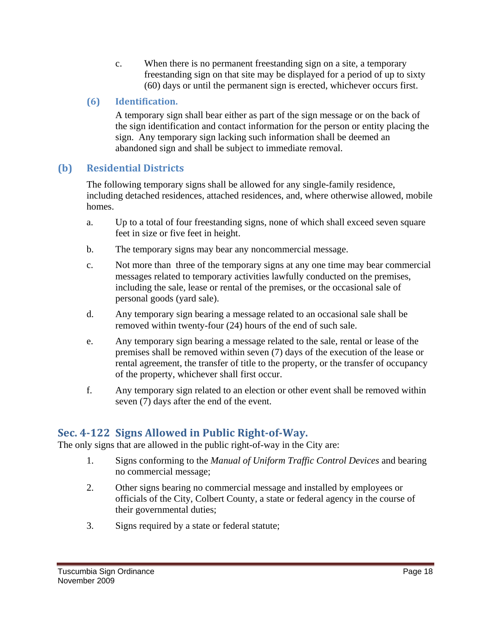c. When there is no permanent freestanding sign on a site, a temporary freestanding sign on that site may be displayed for a period of up to sixty (60) days or until the permanent sign is erected, whichever occurs first.

## **(6) Identification.**

A temporary sign shall bear either as part of the sign message or on the back of the sign identification and contact information for the person or entity placing the sign. Any temporary sign lacking such information shall be deemed an abandoned sign and shall be subject to immediate removal.

## **(b) Residential Districts**

The following temporary signs shall be allowed for any single-family residence, including detached residences, attached residences, and, where otherwise allowed, mobile homes.

- a. Up to a total of four freestanding signs, none of which shall exceed seven square feet in size or five feet in height.
- b. The temporary signs may bear any noncommercial message.
- c. Not more than three of the temporary signs at any one time may bear commercial messages related to temporary activities lawfully conducted on the premises, including the sale, lease or rental of the premises, or the occasional sale of personal goods (yard sale).
- d. Any temporary sign bearing a message related to an occasional sale shall be removed within twenty-four (24) hours of the end of such sale.
- e. Any temporary sign bearing a message related to the sale, rental or lease of the premises shall be removed within seven (7) days of the execution of the lease or rental agreement, the transfer of title to the property, or the transfer of occupancy of the property, whichever shall first occur.
- f. Any temporary sign related to an election or other event shall be removed within seven (7) days after the end of the event.

# **Sec. 4122 Signs Allowed in Public RightofWay.**

The only signs that are allowed in the public right-of-way in the City are:

- 1. Signs conforming to the *Manual of Uniform Traffic Control Devices* and bearing no commercial message;
- 2. Other signs bearing no commercial message and installed by employees or officials of the City, Colbert County, a state or federal agency in the course of their governmental duties;
- 3. Signs required by a state or federal statute;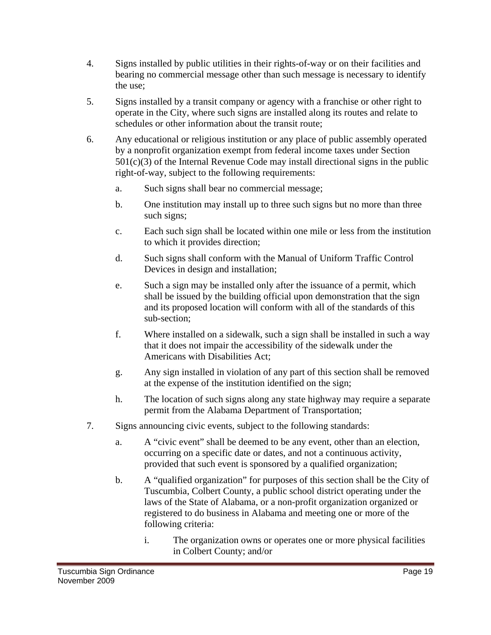- 4. Signs installed by public utilities in their rights-of-way or on their facilities and bearing no commercial message other than such message is necessary to identify the use;
- 5. Signs installed by a transit company or agency with a franchise or other right to operate in the City, where such signs are installed along its routes and relate to schedules or other information about the transit route;
- 6. Any educational or religious institution or any place of public assembly operated by a nonprofit organization exempt from federal income taxes under Section  $501(c)(3)$  of the Internal Revenue Code may install directional signs in the public right-of-way, subject to the following requirements:
	- a. Such signs shall bear no commercial message;
	- b. One institution may install up to three such signs but no more than three such signs;
	- c. Each such sign shall be located within one mile or less from the institution to which it provides direction;
	- d. Such signs shall conform with the Manual of Uniform Traffic Control Devices in design and installation;
	- e. Such a sign may be installed only after the issuance of a permit, which shall be issued by the building official upon demonstration that the sign and its proposed location will conform with all of the standards of this sub-section;
	- f. Where installed on a sidewalk, such a sign shall be installed in such a way that it does not impair the accessibility of the sidewalk under the Americans with Disabilities Act;
	- g. Any sign installed in violation of any part of this section shall be removed at the expense of the institution identified on the sign;
	- h. The location of such signs along any state highway may require a separate permit from the Alabama Department of Transportation;
- 7. Signs announcing civic events, subject to the following standards:
	- a. A "civic event" shall be deemed to be any event, other than an election, occurring on a specific date or dates, and not a continuous activity, provided that such event is sponsored by a qualified organization;
	- b. A "qualified organization" for purposes of this section shall be the City of Tuscumbia, Colbert County, a public school district operating under the laws of the State of Alabama, or a non-profit organization organized or registered to do business in Alabama and meeting one or more of the following criteria:
		- i. The organization owns or operates one or more physical facilities in Colbert County; and/or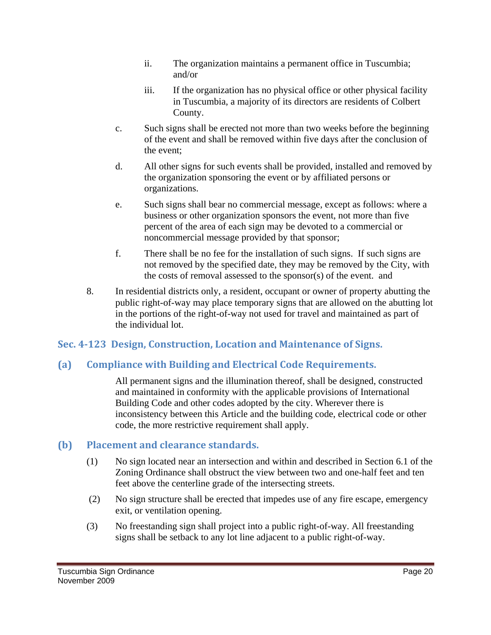- ii. The organization maintains a permanent office in Tuscumbia; and/or
- iii. If the organization has no physical office or other physical facility in Tuscumbia, a majority of its directors are residents of Colbert County.
- c. Such signs shall be erected not more than two weeks before the beginning of the event and shall be removed within five days after the conclusion of the event;
- d. All other signs for such events shall be provided, installed and removed by the organization sponsoring the event or by affiliated persons or organizations.
- e. Such signs shall bear no commercial message, except as follows: where a business or other organization sponsors the event, not more than five percent of the area of each sign may be devoted to a commercial or noncommercial message provided by that sponsor;
- f. There shall be no fee for the installation of such signs. If such signs are not removed by the specified date, they may be removed by the City, with the costs of removal assessed to the sponsor(s) of the event. and
- 8. In residential districts only, a resident, occupant or owner of property abutting the public right-of-way may place temporary signs that are allowed on the abutting lot in the portions of the right-of-way not used for travel and maintained as part of the individual lot.

## **Sec. 4123 Design, Construction, Location and Maintenance of Signs.**

# **(a) Compliance with Building and Electrical Code Requirements.**

All permanent signs and the illumination thereof, shall be designed, constructed and maintained in conformity with the applicable provisions of International Building Code and other codes adopted by the city. Wherever there is inconsistency between this Article and the building code, electrical code or other code, the more restrictive requirement shall apply.

## **(b) Placement and clearance standards.**

- (1) No sign located near an intersection and within and described in Section 6.1 of the Zoning Ordinance shall obstruct the view between two and one-half feet and ten feet above the centerline grade of the intersecting streets.
- (2) No sign structure shall be erected that impedes use of any fire escape, emergency exit, or ventilation opening.
- (3) No freestanding sign shall project into a public right-of-way. All freestanding signs shall be setback to any lot line adjacent to a public right-of-way.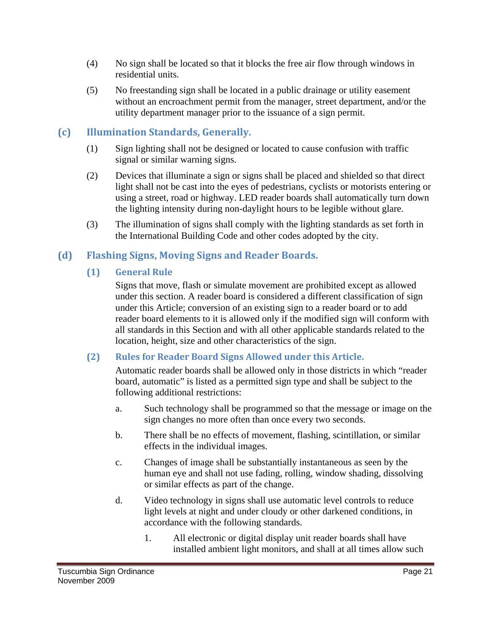- (4) No sign shall be located so that it blocks the free air flow through windows in residential units.
- (5) No freestanding sign shall be located in a public drainage or utility easement without an encroachment permit from the manager, street department, and/or the utility department manager prior to the issuance of a sign permit.

# **(c) Illumination Standards, Generally.**

- (1) Sign lighting shall not be designed or located to cause confusion with traffic signal or similar warning signs.
- (2) Devices that illuminate a sign or signs shall be placed and shielded so that direct light shall not be cast into the eyes of pedestrians, cyclists or motorists entering or using a street, road or highway. LED reader boards shall automatically turn down the lighting intensity during non-daylight hours to be legible without glare.
- (3) The illumination of signs shall comply with the lighting standards as set forth in the International Building Code and other codes adopted by the city.

## **(d) Flashing Signs, Moving Signs and Reader Boards.**

## **(1) General Rule**

Signs that move, flash or simulate movement are prohibited except as allowed under this section. A reader board is considered a different classification of sign under this Article; conversion of an existing sign to a reader board or to add reader board elements to it is allowed only if the modified sign will conform with all standards in this Section and with all other applicable standards related to the location, height, size and other characteristics of the sign.

## **(2) Rules for Reader Board Signs Allowed under this Article.**

Automatic reader boards shall be allowed only in those districts in which "reader board, automatic" is listed as a permitted sign type and shall be subject to the following additional restrictions:

- a. Such technology shall be programmed so that the message or image on the sign changes no more often than once every two seconds.
- b. There shall be no effects of movement, flashing, scintillation, or similar effects in the individual images.
- c. Changes of image shall be substantially instantaneous as seen by the human eye and shall not use fading, rolling, window shading, dissolving or similar effects as part of the change.
- d. Video technology in signs shall use automatic level controls to reduce light levels at night and under cloudy or other darkened conditions, in accordance with the following standards.
	- 1. All electronic or digital display unit reader boards shall have installed ambient light monitors, and shall at all times allow such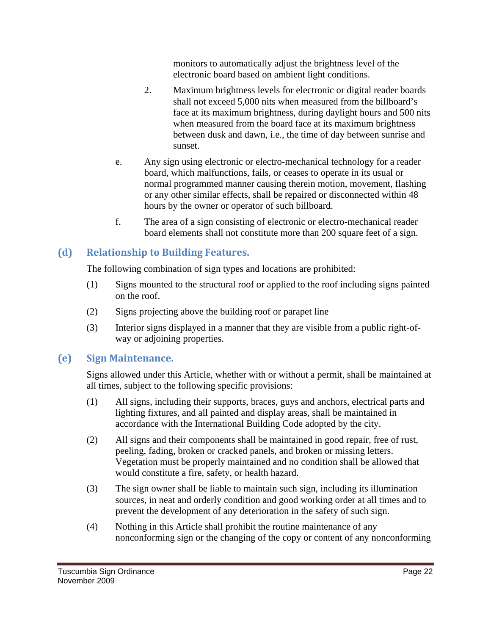monitors to automatically adjust the brightness level of the electronic board based on ambient light conditions.

- 2. Maximum brightness levels for electronic or digital reader boards shall not exceed 5,000 nits when measured from the billboard's face at its maximum brightness, during daylight hours and 500 nits when measured from the board face at its maximum brightness between dusk and dawn, i.e., the time of day between sunrise and sunset.
- e. Any sign using electronic or electro-mechanical technology for a reader board, which malfunctions, fails, or ceases to operate in its usual or normal programmed manner causing therein motion, movement, flashing or any other similar effects, shall be repaired or disconnected within 48 hours by the owner or operator of such billboard.
- f. The area of a sign consisting of electronic or electro-mechanical reader board elements shall not constitute more than 200 square feet of a sign.

## **(d) Relationship to Building Features.**

The following combination of sign types and locations are prohibited:

- (1) Signs mounted to the structural roof or applied to the roof including signs painted on the roof.
- (2) Signs projecting above the building roof or parapet line
- (3) Interior signs displayed in a manner that they are visible from a public right-ofway or adjoining properties.

## **(e) Sign Maintenance.**

Signs allowed under this Article, whether with or without a permit, shall be maintained at all times, subject to the following specific provisions:

- (1) All signs, including their supports, braces, guys and anchors, electrical parts and lighting fixtures, and all painted and display areas, shall be maintained in accordance with the International Building Code adopted by the city.
- (2) All signs and their components shall be maintained in good repair, free of rust, peeling, fading, broken or cracked panels, and broken or missing letters. Vegetation must be properly maintained and no condition shall be allowed that would constitute a fire, safety, or health hazard.
- (3) The sign owner shall be liable to maintain such sign, including its illumination sources, in neat and orderly condition and good working order at all times and to prevent the development of any deterioration in the safety of such sign.
- (4) Nothing in this Article shall prohibit the routine maintenance of any nonconforming sign or the changing of the copy or content of any nonconforming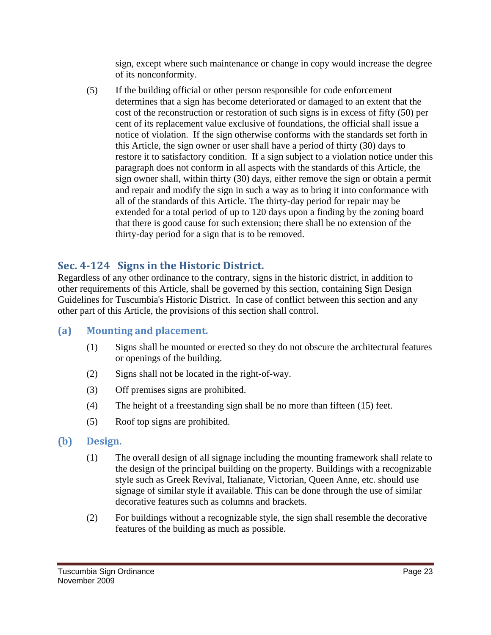sign, except where such maintenance or change in copy would increase the degree of its nonconformity.

(5) If the building official or other person responsible for code enforcement determines that a sign has become deteriorated or damaged to an extent that the cost of the reconstruction or restoration of such signs is in excess of fifty (50) per cent of its replacement value exclusive of foundations, the official shall issue a notice of violation. If the sign otherwise conforms with the standards set forth in this Article, the sign owner or user shall have a period of thirty (30) days to restore it to satisfactory condition. If a sign subject to a violation notice under this paragraph does not conform in all aspects with the standards of this Article, the sign owner shall, within thirty (30) days, either remove the sign or obtain a permit and repair and modify the sign in such a way as to bring it into conformance with all of the standards of this Article. The thirty-day period for repair may be extended for a total period of up to 120 days upon a finding by the zoning board that there is good cause for such extension; there shall be no extension of the thirty-day period for a sign that is to be removed.

# **Sec. 4124 Signs in the Historic District.**

Regardless of any other ordinance to the contrary, signs in the historic district, in addition to other requirements of this Article, shall be governed by this section, containing Sign Design Guidelines for Tuscumbia's Historic District. In case of conflict between this section and any other part of this Article, the provisions of this section shall control.

## **(a) Mounting and placement.**

- (1) Signs shall be mounted or erected so they do not obscure the architectural features or openings of the building.
- (2) Signs shall not be located in the right-of-way.
- (3) Off premises signs are prohibited.
- (4) The height of a freestanding sign shall be no more than fifteen (15) feet.
- (5) Roof top signs are prohibited.
- **(b) Design.**
	- (1) The overall design of all signage including the mounting framework shall relate to the design of the principal building on the property. Buildings with a recognizable style such as Greek Revival, Italianate, Victorian, Queen Anne, etc. should use signage of similar style if available. This can be done through the use of similar decorative features such as columns and brackets.
	- (2) For buildings without a recognizable style, the sign shall resemble the decorative features of the building as much as possible.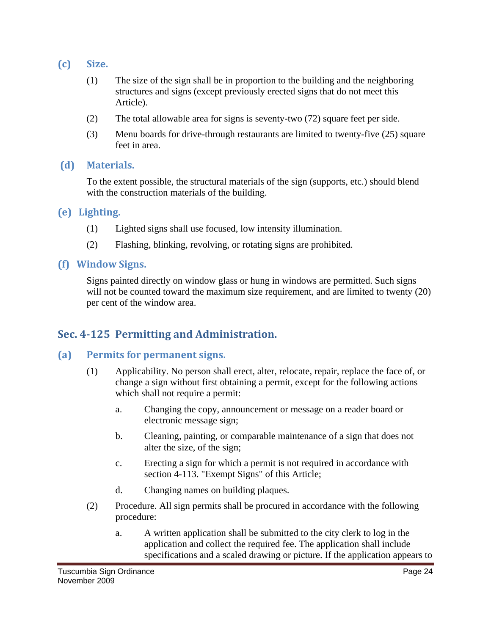- **(c) Size.**
	- (1) The size of the sign shall be in proportion to the building and the neighboring structures and signs (except previously erected signs that do not meet this Article).
	- (2) The total allowable area for signs is seventy-two (72) square feet per side.
	- (3) Menu boards for drive-through restaurants are limited to twenty-five (25) square feet in area.

#### **(d) Materials.**

To the extent possible, the structural materials of the sign (supports, etc.) should blend with the construction materials of the building.

#### **(e) Lighting.**

- (1) Lighted signs shall use focused, low intensity illumination.
- (2) Flashing, blinking, revolving, or rotating signs are prohibited.

#### **(f) Window Signs.**

Signs painted directly on window glass or hung in windows are permitted. Such signs will not be counted toward the maximum size requirement, and are limited to twenty (20) per cent of the window area.

## **Sec. 4125 Permitting and Administration.**

### **(a) Permits for permanent signs.**

- (1) Applicability. No person shall erect, alter, relocate, repair, replace the face of, or change a sign without first obtaining a permit, except for the following actions which shall not require a permit:
	- a. Changing the copy, announcement or message on a reader board or electronic message sign;
	- b. Cleaning, painting, or comparable maintenance of a sign that does not alter the size, of the sign;
	- c. Erecting a sign for which a permit is not required in accordance with section 4-113. "Exempt Signs" of this Article;
	- d. Changing names on building plaques.
- (2) Procedure. All sign permits shall be procured in accordance with the following procedure:
	- a. A written application shall be submitted to the city clerk to log in the application and collect the required fee. The application shall include specifications and a scaled drawing or picture. If the application appears to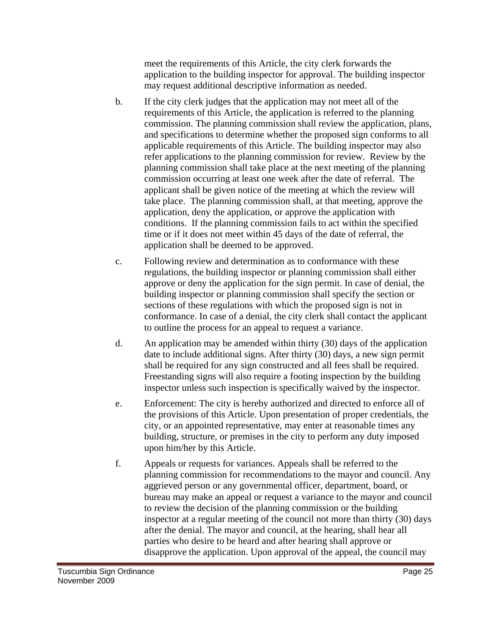meet the requirements of this Article, the city clerk forwards the application to the building inspector for approval. The building inspector may request additional descriptive information as needed.

- b. If the city clerk judges that the application may not meet all of the requirements of this Article, the application is referred to the planning commission. The planning commission shall review the application, plans, and specifications to determine whether the proposed sign conforms to all applicable requirements of this Article. The building inspector may also refer applications to the planning commission for review. Review by the planning commission shall take place at the next meeting of the planning commission occurring at least one week after the date of referral. The applicant shall be given notice of the meeting at which the review will take place. The planning commission shall, at that meeting, approve the application, deny the application, or approve the application with conditions. If the planning commission fails to act within the specified time or if it does not meet within 45 days of the date of referral, the application shall be deemed to be approved.
- c. Following review and determination as to conformance with these regulations, the building inspector or planning commission shall either approve or deny the application for the sign permit. In case of denial, the building inspector or planning commission shall specify the section or sections of these regulations with which the proposed sign is not in conformance. In case of a denial, the city clerk shall contact the applicant to outline the process for an appeal to request a variance.
- d. An application may be amended within thirty (30) days of the application date to include additional signs. After thirty (30) days, a new sign permit shall be required for any sign constructed and all fees shall be required. Freestanding signs will also require a footing inspection by the building inspector unless such inspection is specifically waived by the inspector.
- e. Enforcement: The city is hereby authorized and directed to enforce all of the provisions of this Article. Upon presentation of proper credentials, the city, or an appointed representative, may enter at reasonable times any building, structure, or premises in the city to perform any duty imposed upon him/her by this Article.
- f. Appeals or requests for variances. Appeals shall be referred to the planning commission for recommendations to the mayor and council. Any aggrieved person or any governmental officer, department, board, or bureau may make an appeal or request a variance to the mayor and council to review the decision of the planning commission or the building inspector at a regular meeting of the council not more than thirty (30) days after the denial. The mayor and council, at the hearing, shall hear all parties who desire to be heard and after hearing shall approve or disapprove the application. Upon approval of the appeal, the council may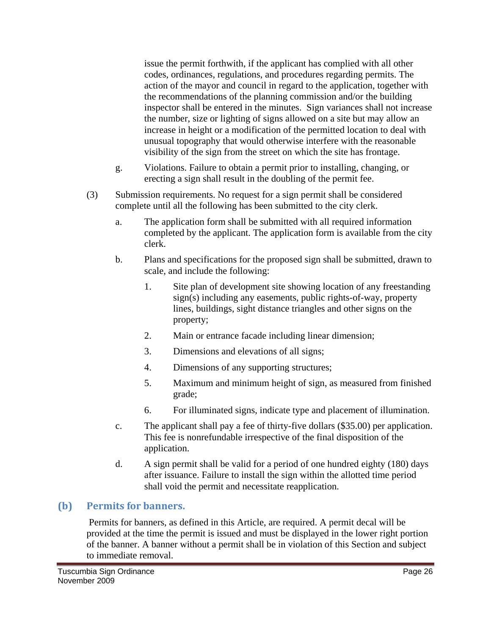issue the permit forthwith, if the applicant has complied with all other codes, ordinances, regulations, and procedures regarding permits. The action of the mayor and council in regard to the application, together with the recommendations of the planning commission and/or the building inspector shall be entered in the minutes. Sign variances shall not increase the number, size or lighting of signs allowed on a site but may allow an increase in height or a modification of the permitted location to deal with unusual topography that would otherwise interfere with the reasonable visibility of the sign from the street on which the site has frontage.

- g. Violations. Failure to obtain a permit prior to installing, changing, or erecting a sign shall result in the doubling of the permit fee.
- (3) Submission requirements. No request for a sign permit shall be considered complete until all the following has been submitted to the city clerk.
	- a. The application form shall be submitted with all required information completed by the applicant. The application form is available from the city clerk.
	- b. Plans and specifications for the proposed sign shall be submitted, drawn to scale, and include the following:
		- 1. Site plan of development site showing location of any freestanding sign(s) including any easements, public rights-of-way, property lines, buildings, sight distance triangles and other signs on the property;
		- 2. Main or entrance facade including linear dimension;
		- 3. Dimensions and elevations of all signs;
		- 4. Dimensions of any supporting structures;
		- 5. Maximum and minimum height of sign, as measured from finished grade;
		- 6. For illuminated signs, indicate type and placement of illumination.
	- c. The applicant shall pay a fee of thirty-five dollars (\$35.00) per application. This fee is nonrefundable irrespective of the final disposition of the application.
	- d. A sign permit shall be valid for a period of one hundred eighty (180) days after issuance. Failure to install the sign within the allotted time period shall void the permit and necessitate reapplication.

## **(b) Permits for banners.**

 Permits for banners, as defined in this Article, are required. A permit decal will be provided at the time the permit is issued and must be displayed in the lower right portion of the banner. A banner without a permit shall be in violation of this Section and subject to immediate removal.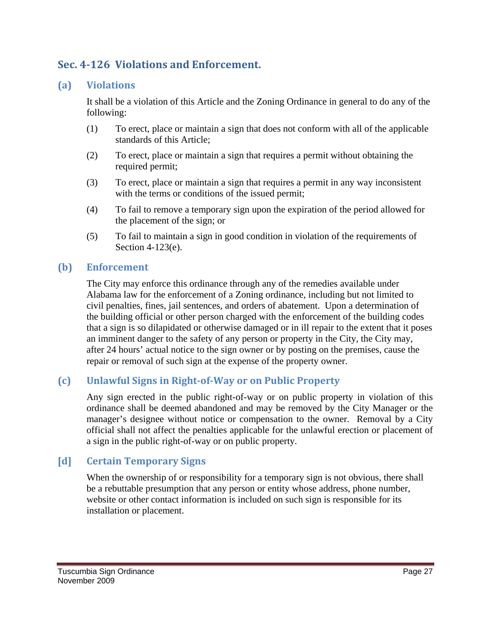# **Sec. 4126 Violations and Enforcement.**

#### **(a) Violations**

It shall be a violation of this Article and the Zoning Ordinance in general to do any of the following:

- (1) To erect, place or maintain a sign that does not conform with all of the applicable standards of this Article;
- (2) To erect, place or maintain a sign that requires a permit without obtaining the required permit;
- (3) To erect, place or maintain a sign that requires a permit in any way inconsistent with the terms or conditions of the issued permit;
- (4) To fail to remove a temporary sign upon the expiration of the period allowed for the placement of the sign; or
- (5) To fail to maintain a sign in good condition in violation of the requirements of Section 4-123(e).

#### **(b) Enforcement**

The City may enforce this ordinance through any of the remedies available under Alabama law for the enforcement of a Zoning ordinance, including but not limited to civil penalties, fines, jail sentences, and orders of abatement. Upon a determination of the building official or other person charged with the enforcement of the building codes that a sign is so dilapidated or otherwise damaged or in ill repair to the extent that it poses an imminent danger to the safety of any person or property in the City, the City may, after 24 hours' actual notice to the sign owner or by posting on the premises, cause the repair or removal of such sign at the expense of the property owner.

#### **(c) Unlawful Signs in RightofWay or on Public Property**

Any sign erected in the public right-of-way or on public property in violation of this ordinance shall be deemed abandoned and may be removed by the City Manager or the manager's designee without notice or compensation to the owner. Removal by a City official shall not affect the penalties applicable for the unlawful erection or placement of a sign in the public right-of-way or on public property.

#### **[d] Certain Temporary Signs**

When the ownership of or responsibility for a temporary sign is not obvious, there shall be a rebuttable presumption that any person or entity whose address, phone number, website or other contact information is included on such sign is responsible for its installation or placement.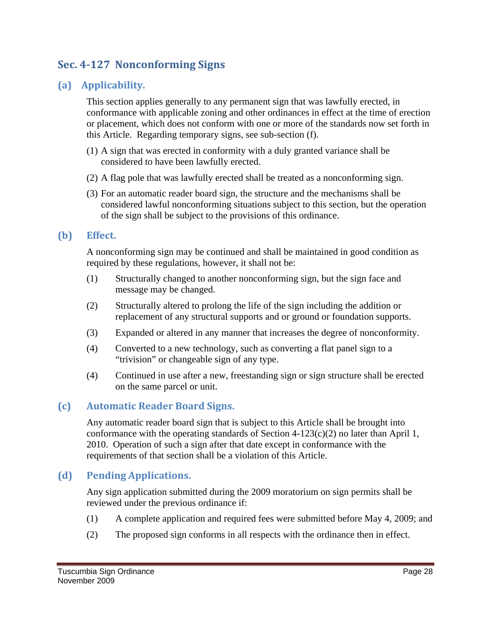# **Sec. 4127 Nonconforming Signs**

## **(a) Applicability.**

This section applies generally to any permanent sign that was lawfully erected, in conformance with applicable zoning and other ordinances in effect at the time of erection or placement, which does not conform with one or more of the standards now set forth in this Article. Regarding temporary signs, see sub-section (f).

- (1) A sign that was erected in conformity with a duly granted variance shall be considered to have been lawfully erected.
- (2) A flag pole that was lawfully erected shall be treated as a nonconforming sign.
- (3) For an automatic reader board sign, the structure and the mechanisms shall be considered lawful nonconforming situations subject to this section, but the operation of the sign shall be subject to the provisions of this ordinance.

### **(b) Effect.**

A nonconforming sign may be continued and shall be maintained in good condition as required by these regulations, however, it shall not be:

- (1) Structurally changed to another nonconforming sign, but the sign face and message may be changed.
- (2) Structurally altered to prolong the life of the sign including the addition or replacement of any structural supports and or ground or foundation supports.
- (3) Expanded or altered in any manner that increases the degree of nonconformity.
- (4) Converted to a new technology, such as converting a flat panel sign to a "trivision" or changeable sign of any type.
- (4) Continued in use after a new, freestanding sign or sign structure shall be erected on the same parcel or unit.

## **(c) Automatic Reader Board Signs.**

Any automatic reader board sign that is subject to this Article shall be brought into conformance with the operating standards of Section  $4-123(c)(2)$  no later than April 1, 2010. Operation of such a sign after that date except in conformance with the requirements of that section shall be a violation of this Article.

## **(d) Pending Applications.**

Any sign application submitted during the 2009 moratorium on sign permits shall be reviewed under the previous ordinance if:

- (1) A complete application and required fees were submitted before May 4, 2009; and
- (2) The proposed sign conforms in all respects with the ordinance then in effect.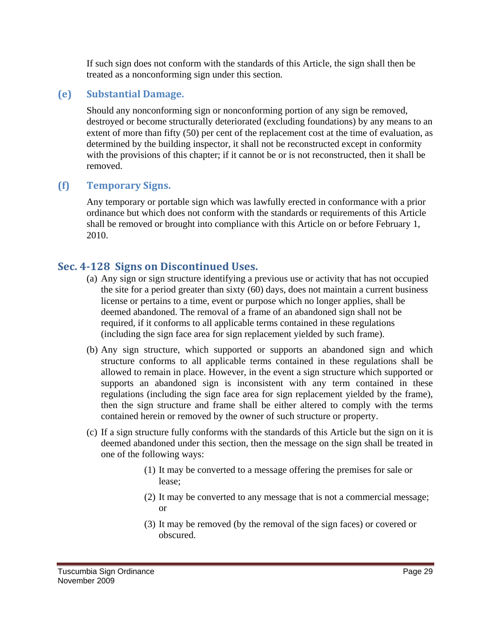If such sign does not conform with the standards of this Article, the sign shall then be treated as a nonconforming sign under this section.

### **(e) Substantial Damage.**

Should any nonconforming sign or nonconforming portion of any sign be removed, destroyed or become structurally deteriorated (excluding foundations) by any means to an extent of more than fifty (50) per cent of the replacement cost at the time of evaluation, as determined by the building inspector, it shall not be reconstructed except in conformity with the provisions of this chapter; if it cannot be or is not reconstructed, then it shall be removed.

#### **(f) Temporary Signs.**

Any temporary or portable sign which was lawfully erected in conformance with a prior ordinance but which does not conform with the standards or requirements of this Article shall be removed or brought into compliance with this Article on or before February 1, 2010.

## **Sec. 4128 Signs on Discontinued Uses.**

- (a) Any sign or sign structure identifying a previous use or activity that has not occupied the site for a period greater than sixty (60) days, does not maintain a current business license or pertains to a time, event or purpose which no longer applies, shall be deemed abandoned. The removal of a frame of an abandoned sign shall not be required, if it conforms to all applicable terms contained in these regulations (including the sign face area for sign replacement yielded by such frame).
- (b) Any sign structure, which supported or supports an abandoned sign and which structure conforms to all applicable terms contained in these regulations shall be allowed to remain in place. However, in the event a sign structure which supported or supports an abandoned sign is inconsistent with any term contained in these regulations (including the sign face area for sign replacement yielded by the frame), then the sign structure and frame shall be either altered to comply with the terms contained herein or removed by the owner of such structure or property.
- (c) If a sign structure fully conforms with the standards of this Article but the sign on it is deemed abandoned under this section, then the message on the sign shall be treated in one of the following ways:
	- (1) It may be converted to a message offering the premises for sale or lease;
	- (2) It may be converted to any message that is not a commercial message; or
	- (3) It may be removed (by the removal of the sign faces) or covered or obscured.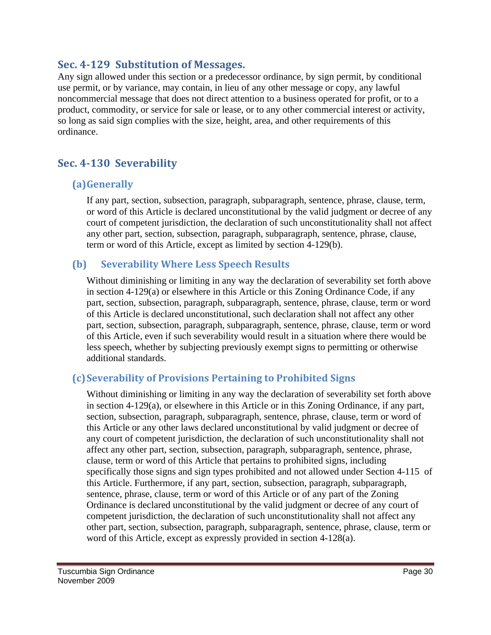## **Sec. 4129 Substitution of Messages.**

Any sign allowed under this section or a predecessor ordinance, by sign permit, by conditional use permit, or by variance, may contain, in lieu of any other message or copy, any lawful noncommercial message that does not direct attention to a business operated for profit, or to a product, commodity, or service for sale or lease, or to any other commercial interest or activity, so long as said sign complies with the size, height, area, and other requirements of this ordinance.

# **Sec. 4130 Severability**

## **(a)Generally**

If any part, section, subsection, paragraph, subparagraph, sentence, phrase, clause, term, or word of this Article is declared unconstitutional by the valid judgment or decree of any court of competent jurisdiction, the declaration of such unconstitutionality shall not affect any other part, section, subsection, paragraph, subparagraph, sentence, phrase, clause, term or word of this Article, except as limited by section 4-129(b).

## **(b) Severability Where Less Speech Results**

Without diminishing or limiting in any way the declaration of severability set forth above in section 4-129(a) or elsewhere in this Article or this Zoning Ordinance Code, if any part, section, subsection, paragraph, subparagraph, sentence, phrase, clause, term or word of this Article is declared unconstitutional, such declaration shall not affect any other part, section, subsection, paragraph, subparagraph, sentence, phrase, clause, term or word of this Article, even if such severability would result in a situation where there would be less speech, whether by subjecting previously exempt signs to permitting or otherwise additional standards.

## **(c)Severability of Provisions Pertaining to Prohibited Signs**

Without diminishing or limiting in any way the declaration of severability set forth above in section 4-129(a), or elsewhere in this Article or in this Zoning Ordinance, if any part, section, subsection, paragraph, subparagraph, sentence, phrase, clause, term or word of this Article or any other laws declared unconstitutional by valid judgment or decree of any court of competent jurisdiction, the declaration of such unconstitutionality shall not affect any other part, section, subsection, paragraph, subparagraph, sentence, phrase, clause, term or word of this Article that pertains to prohibited signs, including specifically those signs and sign types prohibited and not allowed under Section 4-115 of this Article. Furthermore, if any part, section, subsection, paragraph, subparagraph, sentence, phrase, clause, term or word of this Article or of any part of the Zoning Ordinance is declared unconstitutional by the valid judgment or decree of any court of competent jurisdiction, the declaration of such unconstitutionality shall not affect any other part, section, subsection, paragraph, subparagraph, sentence, phrase, clause, term or word of this Article, except as expressly provided in section 4-128(a).